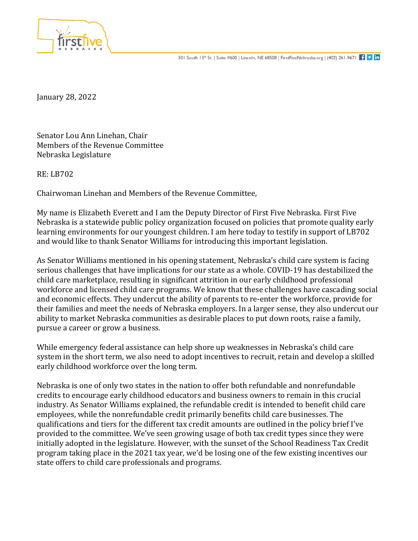

January 28, 2022

Senator Lou Ann Linehan, Chair Members of the Revenue Committee Nebraska Legislature

RE: LB702

Chairwoman Linehan and Members of the Revenue Committee,

My name is Elizabeth Everett and I am the Deputy Director of First Five Nebraska. First Five Nebraska is a statewide public policy organization focused on policies that promote quality early learning environments for our youngest children. I am here today to testify in support of LB702 and would like to thank Senator Williams for introducing this important legislation.

As Senator Williams mentioned in his opening statement, Nebraska's child care system is facing serious challenges that have implications for our state as a whole. COVID-19 has destabilized the child care marketplace, resulting in significant attrition in our early childhood professional workforce and licensed child care programs. We know that these challenges have cascading social and economic effects. They undercut the ability of parents to re-enter the workforce, provide for their families and meet the needs of Nebraska employers. In a larger sense, they also undercut our ability to market Nebraska communities as desirable places to put down roots, raise a family, pursue a career or grow a business.

While emergency federal assistance can help shore up weaknesses in Nebraska's child care system in the short term, we also need to adopt incentives to recruit, retain and develop a skilled early childhood workforce over the long term.

Nebraska is one of only two states in the nation to offer both refundable and nonrefundable credits to encourage early childhood educators and business owners to remain in this crucial industry. As Senator Williams explained, the refundable credit is intended to benefit child care employees, while the nonrefundable credit primarily benefits child care businesses. The qualifications and tiers for the different tax credit amounts are outlined in the policy brief I've provided to the committee. We've seen growing usage of both tax credit types since they were initially adopted in the legislature. However, with the sunset of the School Readiness Tax Credit program taking place in the 2021 tax year, we'd be losing one of the few existing incentives our state offers to child care professionals and programs.